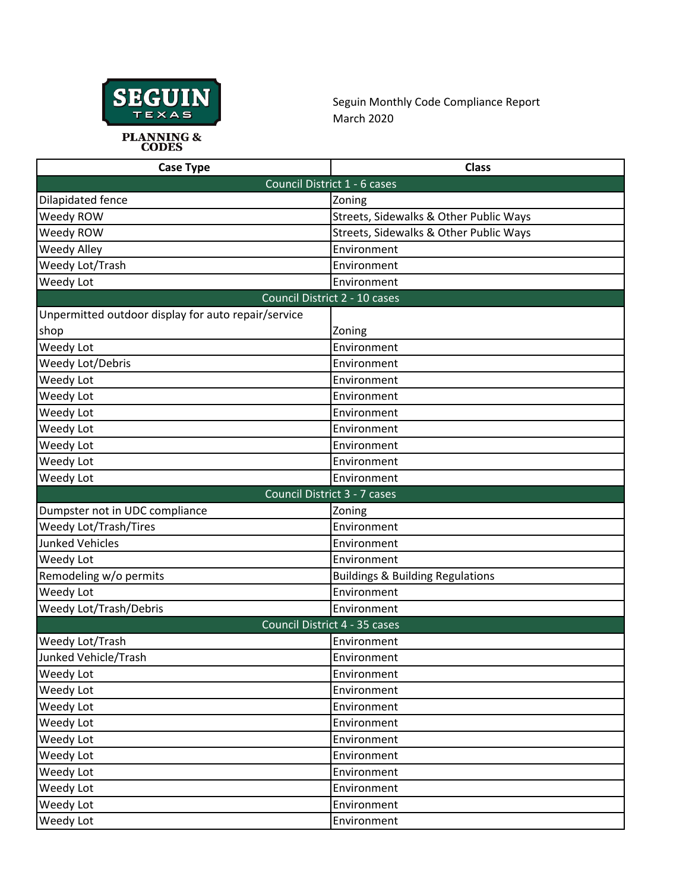

Seguin Monthly Code Compliance Report March 2020

| <b>Case Type</b>                                    | <b>Class</b>                                |  |
|-----------------------------------------------------|---------------------------------------------|--|
| Council District 1 - 6 cases                        |                                             |  |
| Dilapidated fence                                   | Zoning                                      |  |
| Weedy ROW                                           | Streets, Sidewalks & Other Public Ways      |  |
| Weedy ROW                                           | Streets, Sidewalks & Other Public Ways      |  |
| Weedy Alley                                         | Environment                                 |  |
| Weedy Lot/Trash                                     | Environment                                 |  |
| Weedy Lot                                           | Environment                                 |  |
| Council District 2 - 10 cases                       |                                             |  |
| Unpermitted outdoor display for auto repair/service |                                             |  |
| shop                                                | Zoning                                      |  |
| Weedy Lot                                           | Environment                                 |  |
| Weedy Lot/Debris                                    | Environment                                 |  |
| Weedy Lot                                           | Environment                                 |  |
| Weedy Lot                                           | Environment                                 |  |
| Weedy Lot                                           | Environment                                 |  |
| Weedy Lot                                           | Environment                                 |  |
| Weedy Lot                                           | Environment                                 |  |
| Weedy Lot                                           | Environment                                 |  |
| Weedy Lot                                           | Environment                                 |  |
| Council District 3 - 7 cases                        |                                             |  |
| Dumpster not in UDC compliance                      | Zoning                                      |  |
| Weedy Lot/Trash/Tires                               | Environment                                 |  |
| <b>Junked Vehicles</b>                              | Environment                                 |  |
| Weedy Lot                                           | Environment                                 |  |
| Remodeling w/o permits                              | <b>Buildings &amp; Building Regulations</b> |  |
| Weedy Lot                                           | Environment                                 |  |
| Weedy Lot/Trash/Debris                              | Environment                                 |  |
| Council District 4 - 35 cases                       |                                             |  |
| Weedy Lot/Trash                                     | Environment                                 |  |
| Junked Vehicle/Trash                                | Environment                                 |  |
| Weedy Lot                                           | Environment                                 |  |
| Weedy Lot                                           | Environment                                 |  |
| Weedy Lot                                           | Environment                                 |  |
| Weedy Lot                                           | Environment                                 |  |
| Weedy Lot                                           | Environment                                 |  |
| Weedy Lot                                           | Environment                                 |  |
| Weedy Lot                                           | Environment                                 |  |
| Weedy Lot                                           | Environment                                 |  |
| Weedy Lot                                           | Environment                                 |  |
| Weedy Lot                                           | Environment                                 |  |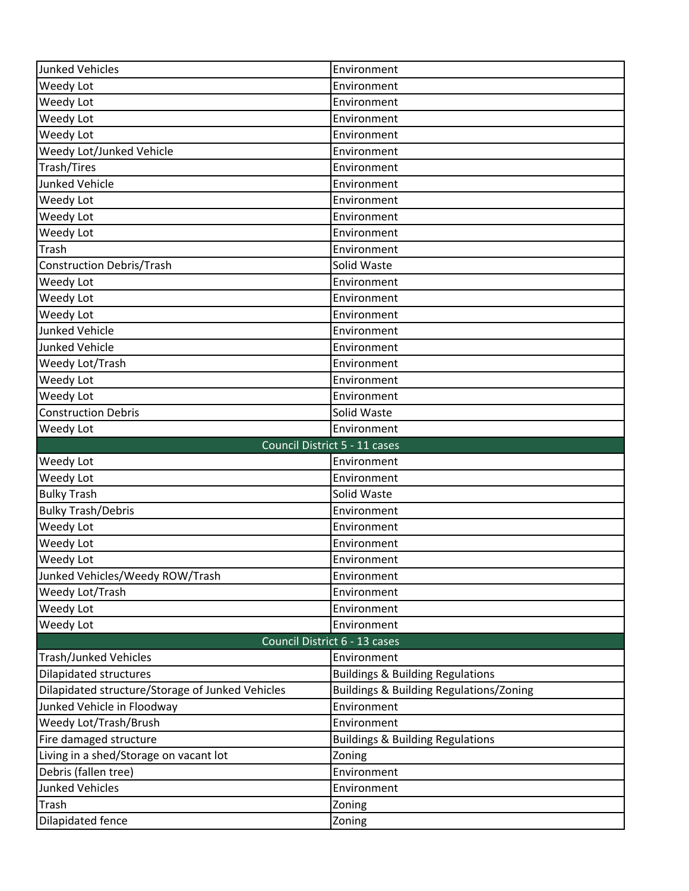| <b>Junked Vehicles</b>                           | Environment                                        |  |
|--------------------------------------------------|----------------------------------------------------|--|
| Weedy Lot                                        | Environment                                        |  |
| Weedy Lot                                        | Environment                                        |  |
| Weedy Lot                                        | Environment                                        |  |
| Weedy Lot                                        | Environment                                        |  |
| Weedy Lot/Junked Vehicle                         | Environment                                        |  |
| Trash/Tires                                      | Environment                                        |  |
| <b>Junked Vehicle</b>                            | Environment                                        |  |
| Weedy Lot                                        | Environment                                        |  |
| Weedy Lot                                        | Environment                                        |  |
| Weedy Lot                                        | Environment                                        |  |
| Trash                                            | Environment                                        |  |
| <b>Construction Debris/Trash</b>                 | Solid Waste                                        |  |
| Weedy Lot                                        | Environment                                        |  |
| Weedy Lot                                        | Environment                                        |  |
| Weedy Lot                                        | Environment                                        |  |
| <b>Junked Vehicle</b>                            | Environment                                        |  |
| <b>Junked Vehicle</b>                            | Environment                                        |  |
| Weedy Lot/Trash                                  | Environment                                        |  |
| Weedy Lot                                        | Environment                                        |  |
| Weedy Lot                                        | Environment                                        |  |
| <b>Construction Debris</b>                       | Solid Waste                                        |  |
| Weedy Lot                                        | Environment                                        |  |
| Council District 5 - 11 cases                    |                                                    |  |
|                                                  |                                                    |  |
| Weedy Lot                                        | Environment                                        |  |
| Weedy Lot                                        | Environment                                        |  |
| <b>Bulky Trash</b>                               | Solid Waste                                        |  |
| <b>Bulky Trash/Debris</b>                        | Environment                                        |  |
| Weedy Lot                                        | Environment                                        |  |
| Weedy Lot                                        | Environment                                        |  |
| Weedy Lot                                        | Environment                                        |  |
| Junked Vehicles/Weedy ROW/Trash                  | Environment                                        |  |
| Weedy Lot/Trash                                  | Environment                                        |  |
| Weedy Lot                                        | Environment                                        |  |
| Weedy Lot                                        | Environment                                        |  |
|                                                  | Council District 6 - 13 cases                      |  |
| Trash/Junked Vehicles                            | Environment                                        |  |
| <b>Dilapidated structures</b>                    | <b>Buildings &amp; Building Regulations</b>        |  |
| Dilapidated structure/Storage of Junked Vehicles | <b>Buildings &amp; Building Regulations/Zoning</b> |  |
| Junked Vehicle in Floodway                       | Environment                                        |  |
| Weedy Lot/Trash/Brush                            | Environment                                        |  |
| Fire damaged structure                           | <b>Buildings &amp; Building Regulations</b>        |  |
| Living in a shed/Storage on vacant lot           | Zoning                                             |  |
| Debris (fallen tree)                             | Environment                                        |  |
| <b>Junked Vehicles</b>                           | Environment                                        |  |
| Trash<br>Dilapidated fence                       | Zoning<br>Zoning                                   |  |